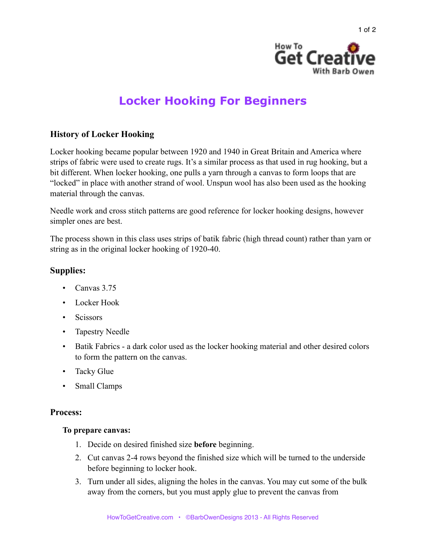

# **Locker Hooking For Beginners**

## **History of Locker Hooking**

Locker hooking became popular between 1920 and 1940 in Great Britain and America where strips of fabric were used to create rugs. It's a similar process as that used in rug hooking, but a bit different. When locker hooking, one pulls a yarn through a canvas to form loops that are "locked" in place with another strand of wool. Unspun wool has also been used as the hooking material through the canvas.

Needle work and cross stitch patterns are good reference for locker hooking designs, however simpler ones are best.

The process shown in this class uses strips of batik fabric (high thread count) rather than yarn or string as in the original locker hooking of 1920-40.

## **Supplies:**

- Canvas 3.75
- Locker Hook
- Scissors
- Tapestry Needle
- Batik Fabrics a dark color used as the locker hooking material and other desired colors to form the pattern on the canvas.
- Tacky Glue
- Small Clamps

### **Process:**

#### **To prepare canvas:**

- 1. Decide on desired finished size **before** beginning.
- 2. Cut canvas 2-4 rows beyond the finished size which will be turned to the underside before beginning to locker hook.
- 3. Turn under all sides, aligning the holes in the canvas. You may cut some of the bulk away from the corners, but you must apply glue to prevent the canvas from